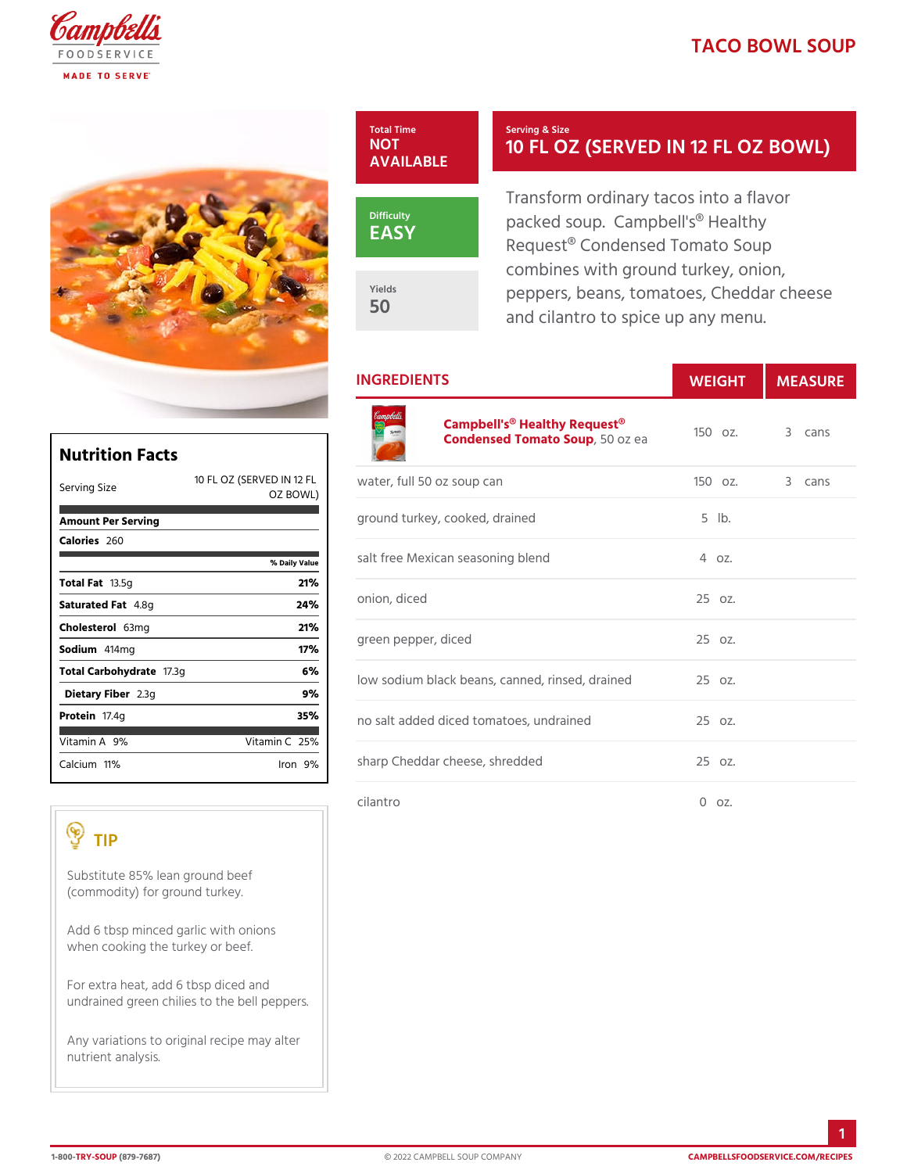## TACO BOWL SO



Yields 50

#### Serving & Size 10 FL OZ (SERVED IN 12

Transform ordinary tacos into a packed soup. Campbell's® Hea Request® Condensed Tomato So combines with ground turkey, on peppers, beans, tomatoes, Ched and cilantro to spice up any me

# INGREDIENTS WEIGH MEASURE

| <b>Nutrition Facts</b>                                                               | Campbell's <sup>®</sup> Healthy Request <sup>®</sup> z.<br>Condensed Tomat 50Soupea |                  | 3 cans |
|--------------------------------------------------------------------------------------|-------------------------------------------------------------------------------------|------------------|--------|
| Serving Size<br>OZ BOWL)                                                             | 10 FL OZ (SERFVEED IN a Per, full 50 oz soup can                                    | $1500z$ .        | 3 cans |
| Amount Per Serving                                                                   | ground turkey, cooked, drained                                                      | $5$ $ b$ .       |        |
| Calorie@60<br>% Daily Value                                                          | salt free Mexican seasoning blend                                                   | 4 oz.            |        |
| Total Fa3.5g<br>21%                                                                  | onion, diced<br>green pepper, diced                                                 | 25 oz.<br>25 oz. |        |
| Saturated 4F. & tg<br>24%                                                            |                                                                                     |                  |        |
| Choleste6&mg<br>21%<br>Sodium414mg<br>17%                                            |                                                                                     |                  |        |
|                                                                                      |                                                                                     |                  |        |
| Total Carbohyd7a3g<br>6 %<br>Dietary F2ib3eq<br>9%                                   | low sodium black beans, canned, rin2s Eedz.drained                                  |                  |        |
| Proteifi7.4g<br>35%                                                                  | no salt added diced tomatoes, undra2i5 soc.                                         |                  |        |
| $V$ itamin9 $A_0$<br>$V$ itamin26%                                                   |                                                                                     |                  |        |
| $C$ alcium <sup>1</sup> %<br>$l$ ron $9\%$                                           | sharp Cheddar cheese, shredded                                                      | 25 oz.           |        |
|                                                                                      | cilantro                                                                            | $0$ $0z$ .       |        |
| TIP                                                                                  |                                                                                     |                  |        |
| Substitute 85% lean ground beef<br>$(commodity)$ for ground turkey.                  |                                                                                     |                  |        |
| Add 6 tbsp minced garlic with onions<br>when cooking the turkey or beef.             |                                                                                     |                  |        |
| For extra heat, add 6 tbsp diced and<br>undrained green chilies to the bell peppers. |                                                                                     |                  |        |
|                                                                                      |                                                                                     |                  |        |